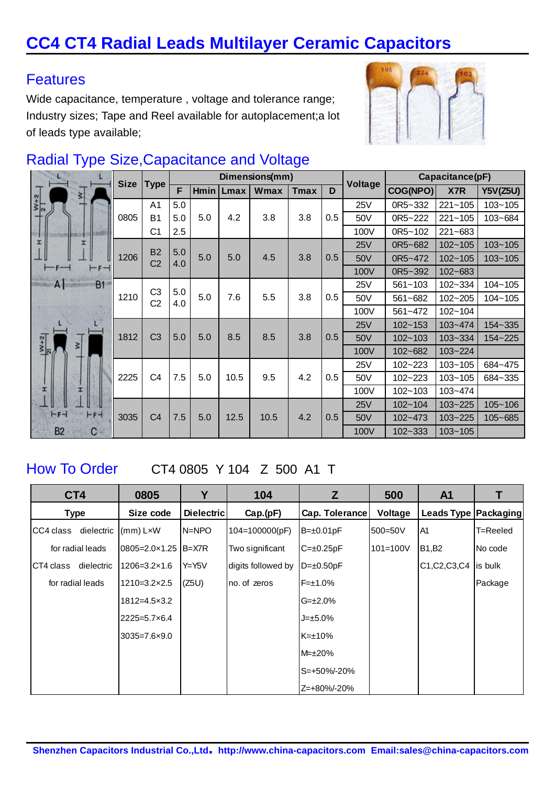# **CC4 CT4 Radial Leads Multilayer Ceramic Capacitors**

### **Features**

Wide capacitance, temperature , voltage and tolerance range; Industry sizes; Tape and Reel available for autoplacement;a lot of leads type available;



## Radial Type Size,Capacitance and Voltage

|                                | <b>Size</b> | <b>Type</b>                 | Dimensions(mm) |             |      |      | Voltage | Capacitance(pF) |            |             |             |                 |
|--------------------------------|-------------|-----------------------------|----------------|-------------|------|------|---------|-----------------|------------|-------------|-------------|-----------------|
| 키                              |             |                             | F              | <b>Hmin</b> | Lmax | Wmax | Tmax    | D               |            | COG(NPO)    | X7R         | <b>Y5V(Z5U)</b> |
| $\frac{W+2}{2}$                |             | A <sub>1</sub>              | 5.0            |             |      |      |         |                 | 25V        | 0R5~332     | $221 - 105$ | $103 - 105$     |
|                                | 0805        | B <sub>1</sub>              | 5.0            | 5.0         | 4.2  | 3.8  | 3.8     | 0.5             | 50V        | 0R5~222     | $221 - 105$ | 103~684         |
|                                |             | C <sub>1</sub>              | 2.5            |             |      |      |         |                 | 100V       | 0R5~102     | 221~683     |                 |
| I                              |             |                             | 5.0            |             |      |      |         |                 | 25V        | 0R5~682     | $102 - 105$ | $103 - 105$     |
|                                | 1206        | <b>B2</b><br>C <sub>2</sub> | 4.0            | 5.0         | 5.0  | 4.5  | 3.8     | 0.5             | 50V        | 0R5~472     | $102 - 105$ | $103 - 105$     |
|                                |             |                             |                |             |      |      |         |                 | 100V       | 0R5~392     | 102~683     |                 |
| A<br>B1                        |             | C <sub>3</sub>              | 5.0            |             |      |      |         |                 | 25V        | $561 - 103$ | 102~334     | $104 - 105$     |
|                                | 1210        | C <sub>2</sub>              | 4.0            | 5.0         | 7.6  | 5.5  | 3.8     | 0.5             | 50V        | 561~682     | $102 - 205$ | 104~105         |
|                                |             |                             |                |             |      |      |         |                 | 100V       | 561~472     | $102 - 104$ |                 |
|                                | 1812        | C <sub>3</sub>              | 5.0            |             | 8.5  | 8.5  | 3.8     | 0.5             | <b>25V</b> | $102 - 153$ | $103 - 474$ | 154~335         |
| $\frac{1}{2}$<br>$\frac{1}{2}$ |             |                             |                | 5.0         |      |      |         |                 | 50V        | $102 - 103$ | 103~334     | 154~225         |
| 3                              |             |                             |                |             |      |      |         |                 | 100V       | 102~682     | 103~224     |                 |
|                                |             |                             |                |             |      |      |         |                 | 25V        | $102 - 223$ | $103 - 105$ | 684~475         |
|                                | 2225        | C <sub>4</sub>              | 7.5            | 5.0         | 10.5 | 9.5  | 4.2     | 0.5             | 50V        | 102~223     | $103 - 105$ | 684~335         |
|                                |             |                             |                |             |      |      |         |                 | 100V       | $102 - 103$ | $103 - 474$ |                 |
|                                |             |                             |                |             |      |      |         |                 | 25V        | $102 - 104$ | $103 - 225$ | $105 - 106$     |
| $-1$<br>$-F-$                  | 3035        | C <sub>4</sub>              | 7.5            | 5.0         | 12.5 | 10.5 | 4.2     | 0.5             | 50V        | $102 - 473$ | 103~225     | 105~685         |
| <b>B2</b><br>C                 |             |                             |                |             |      |      |         |                 | 100V       | $102 - 333$ | $103 - 105$ |                 |

How To Order CT4 0805 Y 104 Z 500 A1 T

| CT4         |                  | 0805                     | Υ          | 104                | Z                  | 500          | A <sub>1</sub>         |          |
|-------------|------------------|--------------------------|------------|--------------------|--------------------|--------------|------------------------|----------|
| <b>Type</b> |                  | Size code                | Dielectric | Cap.(pF)           | Cap. Tolerance     | Voltage      | Leads Type   Packaging |          |
| CC4 class   | dielectric       | $\vert$ (mm) LxW         | $N = NPO$  | 104=100000(pF)     | $B = \pm 0.01pF$   | 500=50V      | A <sub>1</sub>         | T=Reeled |
|             | for radial leads | $0805 = 2.0 \times 1.25$ | B=X7R      | Two significant    | $C = \pm 0.25pF$   | $101 = 100V$ | <b>B1,B2</b>           | No code  |
| CT4 class   | dielectric       | $1206 = 3.2 \times 1.6$  | Y=Y5V      | digits followed by | $D = \pm 0.50pF$   |              | C1, C2, C3, C4         | lis bulk |
|             | for radial leads | $1210 = 3.2 \times 2.5$  | (Z5U)      | Ino. of zeros      | $F = \pm 1.0\%$    |              |                        | Package  |
|             |                  | $1812 = 4.5 \times 3.2$  |            |                    | $G = \pm 2.0\%$    |              |                        |          |
|             |                  | $2225 = 5.7 \times 6.4$  |            |                    | $J = ±5.0\%$       |              |                        |          |
|             |                  | $3035 = 7.6 \times 9.0$  |            |                    | $K=\pm 10\%$       |              |                        |          |
|             |                  |                          |            |                    | $M = \pm 20\%$     |              |                        |          |
|             |                  |                          |            |                    | $S = +50\% - 20\%$ |              |                        |          |
|             |                  |                          |            |                    | $Z=+80\% - 20\%$   |              |                        |          |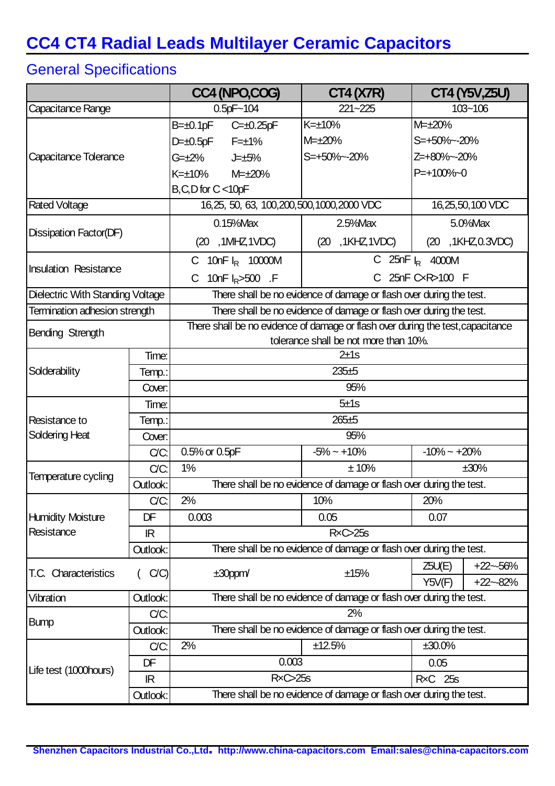# **CC4 CT4 Radial Leads Multilayer Ceramic Capacitors**

## General Specifications

|                                  |                  | CC4 (NPO,COG)                                                                   | <b>CT4 (X7R)</b>                                                    | <b>CT4 (Y5V, Z5U)</b> |  |  |  |
|----------------------------------|------------------|---------------------------------------------------------------------------------|---------------------------------------------------------------------|-----------------------|--|--|--|
| Capacitance Range                |                  | $0.5pF - 104$                                                                   | 221~225                                                             | $103 - 106$           |  |  |  |
|                                  |                  | $B = \pm 0.1pF$<br>$C = \pm 0.25$ pF                                            | $K=\pm 10%$                                                         | M= $\pm$ 20%          |  |  |  |
|                                  |                  | $D=+0.5pF$<br>$F=\pm 1\%$                                                       | M= $\pm$ 20%                                                        | S=+50%~-20%           |  |  |  |
| Capacitance Tolerance            |                  | G=±2%<br><b>J</b> =±5%                                                          | S=+50%~-20%                                                         | Z=+80%~-20%           |  |  |  |
|                                  |                  | $K=\pm 10\%$<br>$M = \pm 20\%$                                                  |                                                                     | $P = +100%$           |  |  |  |
|                                  |                  | $B, C, D$ for $C < 10pF$                                                        |                                                                     |                       |  |  |  |
| <b>Rated Voltage</b>             |                  | 16,25, 50, 63, 100, 200, 500, 1000, 2000 VDC                                    | 16, 25, 50, 100 VDC                                                 |                       |  |  |  |
|                                  |                  | $0.15%$ Max<br>$2.5%$ Max                                                       |                                                                     | 5.0% Max              |  |  |  |
| Dissipation Factor(DF)           |                  | , 1MHZ, 1VDC)<br>(20                                                            | (20, 1KHZ, 1VDC)                                                    | (20, 1KHz, 0.3VDC)    |  |  |  |
|                                  |                  | C 25nF $I_R$ 4000M<br>10nF $I_R$ 10000M                                         |                                                                     |                       |  |  |  |
| <b>Insulation Resistance</b>     |                  | 25nF CxR>100 F<br>10nF $I_R$ >500 .F                                            |                                                                     |                       |  |  |  |
| Dielectric With Standing Voltage |                  |                                                                                 | There shall be no evidence of damage or flash over during the test. |                       |  |  |  |
| Termination adhesion strength    |                  | There shall be no evidence of damage or flash over during the test.             |                                                                     |                       |  |  |  |
| Bending Strength                 |                  | There shall be no evidence of damage or flash over during the test, capacitance |                                                                     |                       |  |  |  |
|                                  |                  | tolerance shall be not more than 10%.                                           |                                                                     |                       |  |  |  |
|                                  | Time:            | 2±1s                                                                            |                                                                     |                       |  |  |  |
| Solderability                    | Temp.:           | $235 + 5$                                                                       |                                                                     |                       |  |  |  |
|                                  | Cover:           | 95%                                                                             |                                                                     |                       |  |  |  |
|                                  | Time:            | 5±1s                                                                            |                                                                     |                       |  |  |  |
| Resistance to                    | Temp.:           | $265 + 5$                                                                       |                                                                     |                       |  |  |  |
| Soldering Heat                   | Cover:           | 95%                                                                             |                                                                     |                       |  |  |  |
|                                  | C/C:             | $-5\% \sim +10\%$<br>0.5% or 0.5pF                                              |                                                                     | $-10\% - +20\%$       |  |  |  |
| Temperature cycling              | C/C:             | 1%<br>±10%<br>±30%                                                              |                                                                     |                       |  |  |  |
|                                  | Outlook:         | There shall be no evidence of damage or flash over during the test.             |                                                                     |                       |  |  |  |
|                                  | C/C:             | 2%                                                                              | 10%                                                                 | 20%                   |  |  |  |
| <b>Humidity Moisture</b>         | DF               | 0.003                                                                           | 0.05                                                                | 0.07                  |  |  |  |
| Resistance                       | $\mathbb{R}$     | RxC > 25s                                                                       |                                                                     |                       |  |  |  |
|                                  | Outlook:         | There shall be no evidence of damage or flash over during the test.             |                                                                     |                       |  |  |  |
| T.C. Characteristics             | C/C              | $±30$ ppm $/$                                                                   | ±15%                                                                | $+22 - 56%$<br>Z5U(E) |  |  |  |
|                                  |                  |                                                                                 | Y5V(F)<br>$+22 - 82%$                                               |                       |  |  |  |
| Vibration                        | Outlook:<br>C/C: | There shall be no evidence of damage or flash over during the test.<br>2%       |                                                                     |                       |  |  |  |
| <b>Bump</b>                      | Outlook:         | There shall be no evidence of damage or flash over during the test.             |                                                                     |                       |  |  |  |
|                                  | C/C:             | 2%<br>±12.5%                                                                    |                                                                     | ±30.0%                |  |  |  |
|                                  | DF               | 0.003                                                                           |                                                                     | 0.05                  |  |  |  |
| Life test (1000 hours)           | IR               | RxC > 25s                                                                       | <b>RxC</b> 25s                                                      |                       |  |  |  |
|                                  | Outlook:         | There shall be no evidence of damage or flash over during the test.             |                                                                     |                       |  |  |  |